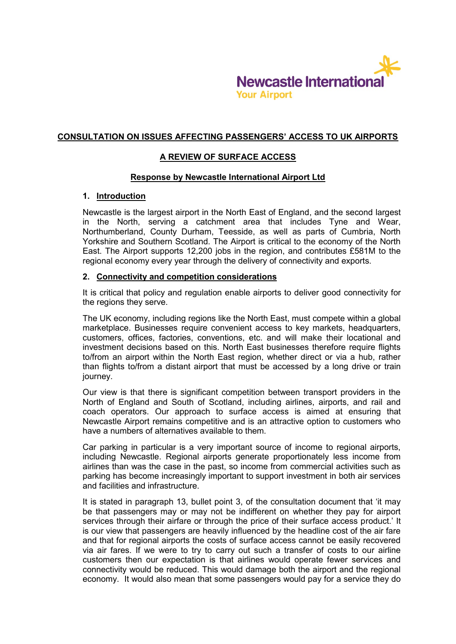

### **CONSULTATION ON ISSUES AFFECTING PASSENGERS' ACCESS TO UK AIRPORTS**

## **A REVIEW OF SURFACE ACCESS**

### **Response by Newcastle International Airport Ltd**

### **1. Introduction**

Newcastle is the largest airport in the North East of England, and the second largest in the North, serving a catchment area that includes Tyne and Wear, Northumberland, County Durham, Teesside, as well as parts of Cumbria, North Yorkshire and Southern Scotland. The Airport is critical to the economy of the North East. The Airport supports 12,200 jobs in the region, and contributes £581M to the regional economy every year through the delivery of connectivity and exports.

### **2. Connectivity and competition considerations**

It is critical that policy and regulation enable airports to deliver good connectivity for the regions they serve.

The UK economy, including regions like the North East, must compete within a global marketplace. Businesses require convenient access to key markets, headquarters, customers, offices, factories, conventions, etc. and will make their locational and investment decisions based on this. North East businesses therefore require flights to/from an airport within the North East region, whether direct or via a hub, rather than flights to/from a distant airport that must be accessed by a long drive or train journey.

Our view is that there is significant competition between transport providers in the North of England and South of Scotland, including airlines, airports, and rail and coach operators. Our approach to surface access is aimed at ensuring that Newcastle Airport remains competitive and is an attractive option to customers who have a numbers of alternatives available to them.

Car parking in particular is a very important source of income to regional airports, including Newcastle. Regional airports generate proportionately less income from airlines than was the case in the past, so income from commercial activities such as parking has become increasingly important to support investment in both air services and facilities and infrastructure.

It is stated in paragraph 13, bullet point 3, of the consultation document that 'it may be that passengers may or may not be indifferent on whether they pay for airport services through their airfare or through the price of their surface access product.' It is our view that passengers are heavily influenced by the headline cost of the air fare and that for regional airports the costs of surface access cannot be easily recovered via air fares. If we were to try to carry out such a transfer of costs to our airline customers then our expectation is that airlines would operate fewer services and connectivity would be reduced. This would damage both the airport and the regional economy. It would also mean that some passengers would pay for a service they do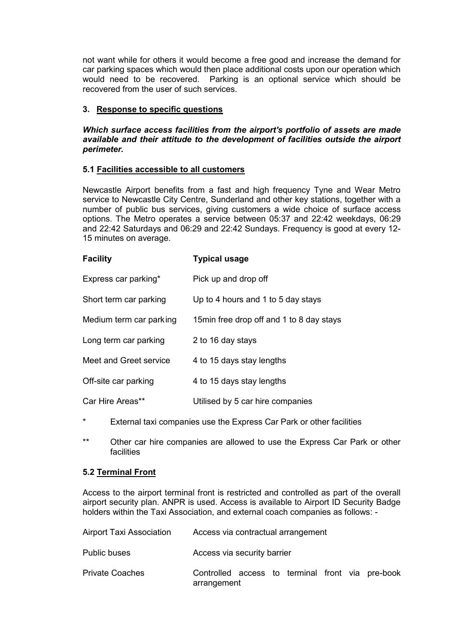not want while for others it would become a free good and increase the demand for car parking spaces which would then place additional costs upon our operation which would need to be recovered. Parking is an optional service which should be recovered from the user of such services.

# **3. Response to specific questions**

### *Which surface access facilities from the airport's portfolio of assets are made available and their attitude to the development of facilities outside the airport perimeter.*

### **5.1 Facilities accessible to all customers**

Newcastle Airport benefits from a fast and high frequency Tyne and Wear Metro service to Newcastle City Centre, Sunderland and other key stations, together with a number of public bus services, giving customers a wide choice of surface access options. The Metro operates a service between 05:37 and 22:42 weekdays, 06:29 and 22:42 Saturdays and 06:29 and 22:42 Sundays. Frequency is good at every 12- 15 minutes on average.

| <b>Facility</b>         | <b>Typical usage</b>                      |
|-------------------------|-------------------------------------------|
| Express car parking*    | Pick up and drop off                      |
| Short term car parking  | Up to 4 hours and 1 to 5 day stays        |
| Medium term car parking | 15 min free drop off and 1 to 8 day stays |
| Long term car parking   | 2 to 16 day stays                         |
| Meet and Greet service  | 4 to 15 days stay lengths                 |
| Off-site car parking    | 4 to 15 days stay lengths                 |
| Car Hire Areas**        | Utilised by 5 car hire companies          |

- \* External taxi companies use the Express Car Park or other facilities
- \*\* Other car hire companies are allowed to use the Express Car Park or other facilities

### **5.2 Terminal Front**

Access to the airport terminal front is restricted and controlled as part of the overall airport security plan. ANPR is used. Access is available to Airport ID Security Badge holders within the Taxi Association, and external coach companies as follows: -

| <b>Airport Taxi Association</b> | Access via contractual arrangement                              |
|---------------------------------|-----------------------------------------------------------------|
| <b>Public buses</b>             | Access via security barrier                                     |
| <b>Private Coaches</b>          | Controlled access to terminal front via pre-book<br>arrangement |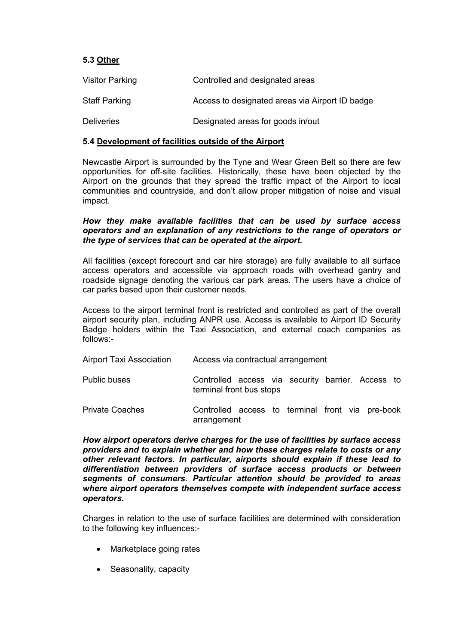### **5.3 Other**

| <b>Visitor Parking</b> | Controlled and designated areas                 |
|------------------------|-------------------------------------------------|
| Staff Parking          | Access to designated areas via Airport ID badge |
| <b>Deliveries</b>      | Designated areas for goods in/out               |

### **5.4 Development of facilities outside of the Airport**

Newcastle Airport is surrounded by the Tyne and Wear Green Belt so there are few opportunities for off-site facilities. Historically, these have been objected by the Airport on the grounds that they spread the traffic impact of the Airport to local communities and countryside, and don't allow proper mitigation of noise and visual impact.

#### *How they make available facilities that can be used by surface access operators and an explanation of any restrictions to the range of operators or the type of services that can be operated at the airport.*

All facilities (except forecourt and car hire storage) are fully available to all surface access operators and accessible via approach roads with overhead gantry and roadside signage denoting the various car park areas. The users have a choice of car parks based upon their customer needs.

Access to the airport terminal front is restricted and controlled as part of the overall airport security plan, including ANPR use. Access is available to Airport ID Security Badge holders within the Taxi Association, and external coach companies as follows:-

| <b>Airport Taxi Association</b> | Access via contractual arrangement                                            |
|---------------------------------|-------------------------------------------------------------------------------|
| <b>Public buses</b>             | Controlled access via security barrier. Access to<br>terminal front bus stops |
| <b>Private Coaches</b>          | Controlled access to terminal front via pre-book<br>arrangement               |

*How airport operators derive charges for the use of facilities by surface access providers and to explain whether and how these charges relate to costs or any other relevant factors. In particular, airports should explain if these lead to differentiation between providers of surface access products or between segments of consumers. Particular attention should be provided to areas where airport operators themselves compete with independent surface access operators.* 

Charges in relation to the use of surface facilities are determined with consideration to the following key influences:-

- Marketplace going rates
- Seasonality, capacity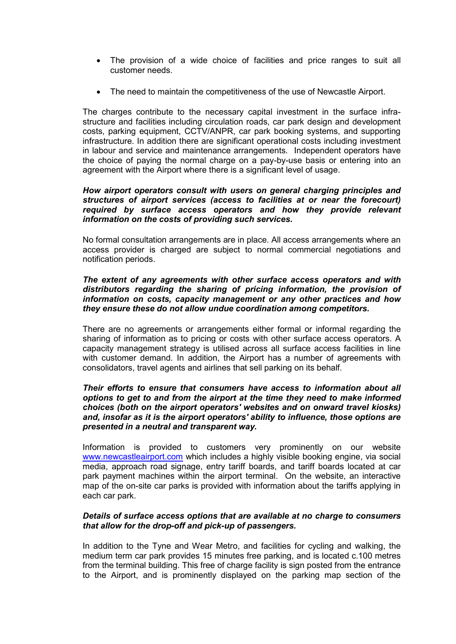- The provision of a wide choice of facilities and price ranges to suit all customer needs.
- The need to maintain the competitiveness of the use of Newcastle Airport.

The charges contribute to the necessary capital investment in the surface infrastructure and facilities including circulation roads, car park design and development costs, parking equipment, CCTV/ANPR, car park booking systems, and supporting infrastructure. In addition there are significant operational costs including investment in labour and service and maintenance arrangements. Independent operators have the choice of paying the normal charge on a pay-by-use basis or entering into an agreement with the Airport where there is a significant level of usage.

### *How airport operators consult with users on general charging principles and structures of airport services (access to facilities at or near the forecourt) required by surface access operators and how they provide relevant information on the costs of providing such services.*

No formal consultation arrangements are in place. All access arrangements where an access provider is charged are subject to normal commercial negotiations and notification periods.

### *The extent of any agreements with other surface access operators and with distributors regarding the sharing of pricing information, the provision of information on costs, capacity management or any other practices and how they ensure these do not allow undue coordination among competitors.*

There are no agreements or arrangements either formal or informal regarding the sharing of information as to pricing or costs with other surface access operators. A capacity management strategy is utilised across all surface access facilities in line with customer demand. In addition, the Airport has a number of agreements with consolidators, travel agents and airlines that sell parking on its behalf.

#### *Their efforts to ensure that consumers have access to information about all options to get to and from the airport at the time they need to make informed choices (both on the airport operators' websites and on onward travel kiosks) and, insofar as it is the airport operators' ability to influence, those options are presented in a neutral and transparent way.*

Information is provided to customers very prominently on our website [www.newcastleairport.com](http://www.newcastleairport.com/) which includes a highly visible booking engine, via social media, approach road signage, entry tariff boards, and tariff boards located at car park payment machines within the airport terminal. On the website, an interactive map of the on-site car parks is provided with information about the tariffs applying in each car park.

### *Details of surface access options that are available at no charge to consumers that allow for the drop-off and pick-up of passengers.*

In addition to the Tyne and Wear Metro, and facilities for cycling and walking, the medium term car park provides 15 minutes free parking, and is located c.100 metres from the terminal building. This free of charge facility is sign posted from the entrance to the Airport, and is prominently displayed on the parking map section of the